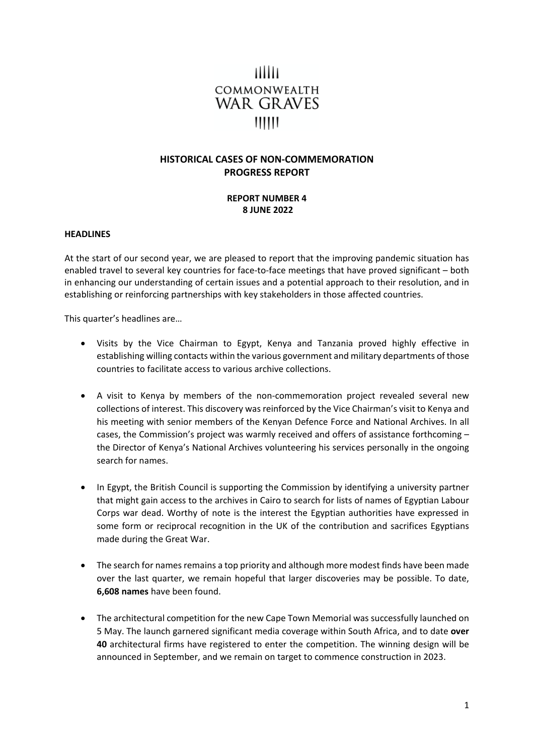# THILL COMMONWEALTH WAR GRAVES  $111111$

## **HISTORICAL CASES OF NON-COMMEMORATION PROGRESS REPORT**

## **REPORT NUMBER 4 8 JUNE 2022**

#### **HEADLINES**

At the start of our second year, we are pleased to report that the improving pandemic situation has enabled travel to several key countries for face-to-face meetings that have proved significant – both in enhancing our understanding of certain issues and a potential approach to their resolution, and in establishing or reinforcing partnerships with key stakeholders in those affected countries.

This quarter's headlines are…

- Visits by the Vice Chairman to Egypt, Kenya and Tanzania proved highly effective in establishing willing contacts within the various government and military departments of those countries to facilitate access to various archive collections.
- A visit to Kenya by members of the non-commemoration project revealed several new collections of interest. This discovery was reinforced by the Vice Chairman's visit to Kenya and his meeting with senior members of the Kenyan Defence Force and National Archives. In all cases, the Commission's project was warmly received and offers of assistance forthcoming – the Director of Kenya's National Archives volunteering his services personally in the ongoing search for names.
- In Egypt, the British Council is supporting the Commission by identifying a university partner that might gain access to the archives in Cairo to search for lists of names of Egyptian Labour Corps war dead. Worthy of note is the interest the Egyptian authorities have expressed in some form or reciprocal recognition in the UK of the contribution and sacrifices Egyptians made during the Great War.
- The search for names remains a top priority and although more modest finds have been made over the last quarter, we remain hopeful that larger discoveries may be possible. To date, **6,608 names** have been found.
- The architectural competition for the new Cape Town Memorial was successfully launched on 5 May. The launch garnered significant media coverage within South Africa, and to date **over 40** architectural firms have registered to enter the competition. The winning design will be announced in September, and we remain on target to commence construction in 2023.